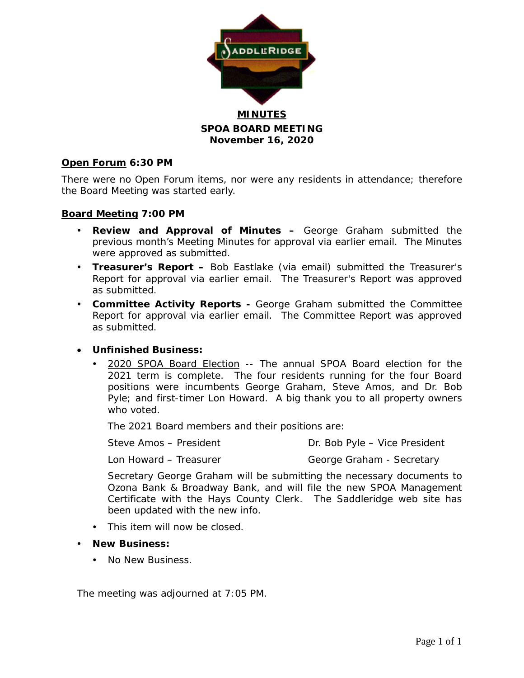

**SPOA BOARD MEETING November 16, 2020**

### **Open Forum 6:30 PM**

There were no Open Forum items, nor were any residents in attendance; therefore the Board Meeting was started early.

### **Board Meeting 7:00 PM**

- **Review and Approval of Minutes –** George Graham submitted the previous month's Meeting Minutes for approval via earlier email. The Minutes were approved as submitted.
- **Treasurer's Report –** Bob Eastlake (via email) submitted the Treasurer's Report for approval via earlier email. The Treasurer's Report was approved as submitted.
- **Committee Activity Reports -** George Graham submitted the Committee Report for approval via earlier email. The Committee Report was approved as submitted.

### • **Unfinished Business:**

 2020 SPOA Board Election -- The annual SPOA Board election for the 2021 term is complete. The four residents running for the four Board positions were incumbents George Graham, Steve Amos, and Dr. Bob Pyle; and first-timer Lon Howard. A big thank you to all property owners who voted.

The 2021 Board members and their positions are:

Steve Amos – President Dr. Bob Pyle – Vice President

Lon Howard – Treasurer George Graham - Secretary

Secretary George Graham will be submitting the necessary documents to Ozona Bank & Broadway Bank, and will file the new SPOA Management Certificate with the Hays County Clerk. The Saddleridge web site has been updated with the new info.

- This item will now be closed.
- **New Business:**
	- No New Business.

The meeting was adjourned at 7:05 PM.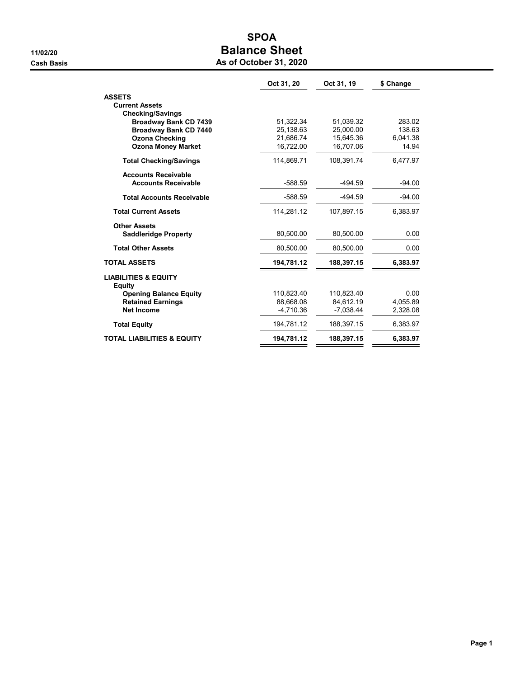# SPOA 11/02/20 Balance Sheet

|  | As of October 31, 2020 |  |  |
|--|------------------------|--|--|
|--|------------------------|--|--|

|                                                  | Oct 31, 20 | Oct 31, 19  | \$ Change |
|--------------------------------------------------|------------|-------------|-----------|
| <b>ASSETS</b>                                    |            |             |           |
| <b>Current Assets</b>                            |            |             |           |
| <b>Checking/Savings</b>                          |            |             |           |
| <b>Broadway Bank CD 7439</b>                     | 51,322.34  | 51.039.32   | 283.02    |
| <b>Broadway Bank CD 7440</b>                     | 25,138.63  | 25.000.00   | 138.63    |
| <b>Ozona Checking</b>                            | 21.686.74  | 15.645.36   | 6.041.38  |
| <b>Ozona Money Market</b>                        | 16,722.00  | 16,707.06   | 14.94     |
| <b>Total Checking/Savings</b>                    | 114,869.71 | 108.391.74  | 6,477.97  |
| <b>Accounts Receivable</b>                       |            |             |           |
| <b>Accounts Receivable</b>                       | $-588.59$  | $-494.59$   | $-94.00$  |
| <b>Total Accounts Receivable</b>                 | $-588.59$  | $-494.59$   | $-94.00$  |
| <b>Total Current Assets</b>                      | 114,281.12 | 107,897.15  | 6,383.97  |
| <b>Other Assets</b>                              |            |             |           |
| <b>Saddleridge Property</b>                      | 80,500.00  | 80,500.00   | 0.00      |
| <b>Total Other Assets</b>                        | 80,500.00  | 80,500.00   | 0.00      |
| <b>TOTAL ASSETS</b>                              | 194,781.12 | 188,397.15  | 6,383.97  |
| <b>LIABILITIES &amp; EQUITY</b><br><b>Equity</b> |            |             |           |
| <b>Opening Balance Equity</b>                    | 110,823.40 | 110,823.40  | 0.00      |
| <b>Retained Earnings</b>                         | 88.668.08  | 84.612.19   | 4.055.89  |
| <b>Net Income</b>                                | -4,710.36  | $-7,038.44$ | 2,328.08  |
| <b>Total Equity</b>                              | 194,781.12 | 188,397.15  | 6,383.97  |
| <b>TOTAL LIABILITIES &amp; EQUITY</b>            | 194,781.12 | 188,397.15  | 6,383.97  |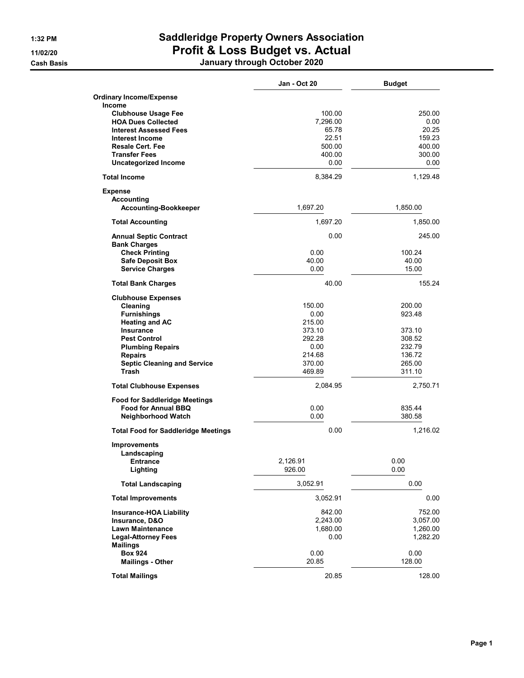## 1:32 PM Saddleridge Property Owners Association 11/02/20 Profit & Loss Budget vs. Actual

Cash Basis January through October 2020

|                                            | Jan - Oct 20 | <b>Budget</b>  |
|--------------------------------------------|--------------|----------------|
| <b>Ordinary Income/Expense</b>             |              |                |
| Income                                     |              |                |
| <b>Clubhouse Usage Fee</b>                 | 100.00       | 250.00         |
| <b>HOA Dues Collected</b>                  | 7,296.00     | 0.00           |
| <b>Interest Assessed Fees</b>              | 65.78        | 20.25          |
| <b>Interest Income</b>                     | 22.51        | 159.23         |
| <b>Resale Cert. Fee</b>                    | 500.00       | 400.00         |
| <b>Transfer Fees</b>                       | 400.00       | 300.00<br>0.00 |
| <b>Uncategorized Income</b>                | 0.00         |                |
| <b>Total Income</b>                        | 8,384.29     | 1,129.48       |
| <b>Expense</b>                             |              |                |
| Accounting                                 |              |                |
| <b>Accounting-Bookkeeper</b>               | 1,697.20     | 1,850.00       |
| <b>Total Accounting</b>                    | 1,697.20     | 1,850.00       |
| <b>Annual Septic Contract</b>              | 0.00         | 245.00         |
| <b>Bank Charges</b>                        |              |                |
| <b>Check Printing</b>                      | 0.00         | 100.24         |
| <b>Safe Deposit Box</b>                    | 40.00        | 40.00          |
| <b>Service Charges</b>                     | 0.00         | 15.00          |
| <b>Total Bank Charges</b>                  | 40.00        | 155.24         |
| <b>Clubhouse Expenses</b>                  |              |                |
| Cleaning                                   | 150.00       | 200.00         |
| <b>Furnishings</b>                         | 0.00         | 923.48         |
| <b>Heating and AC</b>                      | 215.00       |                |
| <b>Insurance</b>                           | 373.10       | 373.10         |
| <b>Pest Control</b>                        | 292.28       | 308.52         |
| <b>Plumbing Repairs</b>                    | 0.00         | 232.79         |
| <b>Repairs</b>                             | 214.68       | 136.72         |
| <b>Septic Cleaning and Service</b>         | 370.00       | 265.00         |
| Trash                                      | 469.89       | 311.10         |
| <b>Total Clubhouse Expenses</b>            | 2,084.95     | 2,750.71       |
| <b>Food for Saddleridge Meetings</b>       |              |                |
| <b>Food for Annual BBQ</b>                 | 0.00         | 835.44         |
| Neighborhood Watch                         | 0.00         | 380.58         |
| <b>Total Food for Saddleridge Meetings</b> | 0.00         | 1,216.02       |
| <b>Improvements</b>                        |              |                |
| Landscaping                                |              |                |
| <b>Entrance</b>                            | 2.126.91     | 0.00           |
| Lighting                                   | 926.00       | 0.00           |
| <b>Total Landscaping</b>                   | 3,052.91     | 0.00           |
| <b>Total Improvements</b>                  | 3,052.91     | 0.00           |
| <b>Insurance-HOA Liability</b>             | 842.00       | 752.00         |
| Insurance, D&O                             | 2,243.00     | 3,057.00       |
| <b>Lawn Maintenance</b>                    | 1,680.00     | 1,260.00       |
| <b>Legal-Attorney Fees</b>                 | 0.00         | 1,282.20       |
| <b>Mailings</b>                            |              |                |
| <b>Box 924</b>                             | 0.00         | 0.00           |
| <b>Mailings - Other</b>                    | 20.85        | 128.00         |
| <b>Total Mailings</b>                      | 20.85        | 128.00         |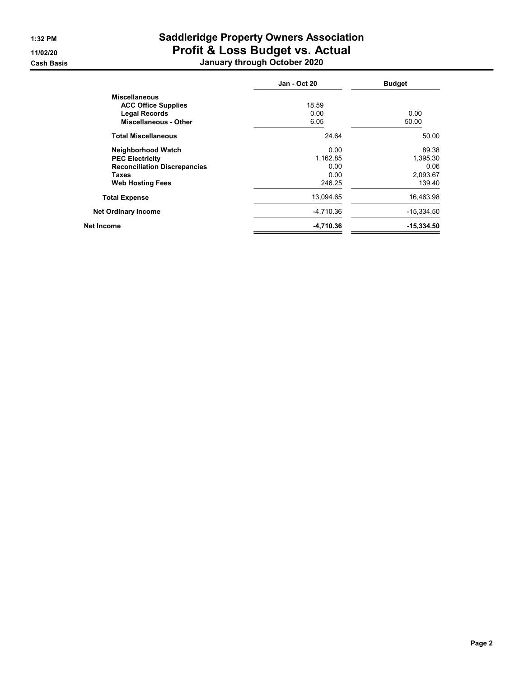## 1:32 PM Saddleridge Property Owners Association 11/02/20 Profit & Loss Budget vs. Actual Cash Basis January through October 2020

|                                     | <b>Jan - Oct 20</b> | <b>Budget</b> |
|-------------------------------------|---------------------|---------------|
| <b>Miscellaneous</b>                |                     |               |
| <b>ACC Office Supplies</b>          | 18.59               |               |
| <b>Legal Records</b>                | 0.00                | 0.00          |
| <b>Miscellaneous - Other</b>        | 6.05                | 50.00         |
| <b>Total Miscellaneous</b>          | 24.64               | 50.00         |
| Neighborhood Watch                  | 0.00                | 89.38         |
| <b>PEC Electricity</b>              | 1,162.85            | 1,395.30      |
| <b>Reconciliation Discrepancies</b> | 0.00                | 0.06          |
| <b>Taxes</b>                        | 0.00                | 2,093.67      |
| <b>Web Hosting Fees</b>             | 246.25              | 139.40        |
| <b>Total Expense</b>                | 13.094.65           | 16,463.98     |
| <b>Net Ordinary Income</b>          | -4.710.36           | $-15,334.50$  |
| Net Income                          | $-4,710.36$         | $-15,334.50$  |